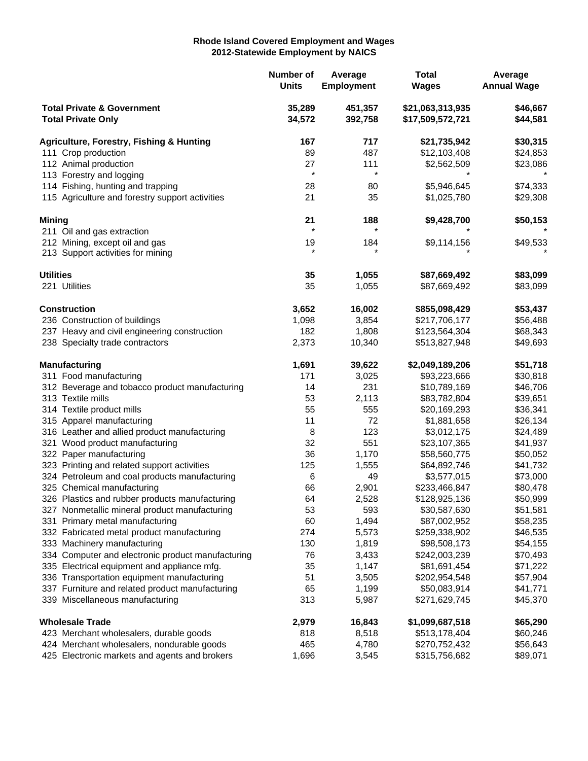## **Rhode Island Covered Employment and Wages 2012-Statewide Employment by NAICS**

|                                                                    |                                                     | Number of<br><b>Units</b> | Average<br><b>Employment</b> | <b>Total</b><br><b>Wages</b>         | Average<br><b>Annual Wage</b> |
|--------------------------------------------------------------------|-----------------------------------------------------|---------------------------|------------------------------|--------------------------------------|-------------------------------|
| <b>Total Private &amp; Government</b><br><b>Total Private Only</b> |                                                     | 35,289<br>34,572          | 451,357<br>392,758           | \$21,063,313,935<br>\$17,509,572,721 | \$46,667<br>\$44,581          |
|                                                                    | <b>Agriculture, Forestry, Fishing &amp; Hunting</b> | 167                       | 717                          | \$21,735,942                         | \$30,315                      |
| 111 Crop production                                                |                                                     | 89                        | 487                          | \$12,103,408                         | \$24,853                      |
|                                                                    | 112 Animal production                               | 27                        | 111                          | \$2,562,509                          | \$23,086                      |
|                                                                    | 113 Forestry and logging                            | $\star$                   | $\star$                      |                                      |                               |
|                                                                    | 114 Fishing, hunting and trapping                   | 28                        | 80                           | \$5,946,645                          | \$74,333                      |
|                                                                    | 115 Agriculture and forestry support activities     | 21                        | 35                           | \$1,025,780                          | \$29,308                      |
| <b>Mining</b>                                                      |                                                     | 21                        | 188                          | \$9,428,700                          | \$50,153                      |
|                                                                    | 211 Oil and gas extraction                          | $\star$                   | $\star$                      |                                      |                               |
|                                                                    | 212 Mining, except oil and gas                      | 19                        | 184                          | \$9,114,156                          | \$49,533                      |
|                                                                    | 213 Support activities for mining                   | $\star$                   |                              |                                      |                               |
| <b>Utilities</b>                                                   |                                                     | 35                        | 1,055                        | \$87,669,492                         | \$83,099                      |
|                                                                    | 221 Utilities                                       | 35                        | 1,055                        | \$87,669,492                         | \$83,099                      |
|                                                                    | <b>Construction</b>                                 | 3,652                     | 16,002                       | \$855,098,429                        | \$53,437                      |
|                                                                    | 236 Construction of buildings                       | 1,098                     | 3,854                        | \$217,706,177                        | \$56,488                      |
|                                                                    | 237 Heavy and civil engineering construction        | 182                       | 1,808                        | \$123,564,304                        | \$68,343                      |
|                                                                    | 238 Specialty trade contractors                     | 2,373                     | 10,340                       | \$513,827,948                        | \$49,693                      |
|                                                                    | <b>Manufacturing</b>                                | 1,691                     | 39,622                       | \$2,049,189,206                      | \$51,718                      |
|                                                                    | 311 Food manufacturing                              | 171                       | 3,025                        | \$93,223,666                         | \$30,818                      |
|                                                                    | 312 Beverage and tobacco product manufacturing      | 14                        | 231                          | \$10,789,169                         | \$46,706                      |
|                                                                    | 313 Textile mills                                   | 53                        | 2,113                        | \$83,782,804                         | \$39,651                      |
|                                                                    | 314 Textile product mills                           | 55                        | 555                          | \$20,169,293                         | \$36,341                      |
|                                                                    | 315 Apparel manufacturing                           | 11                        | 72                           | \$1,881,658                          | \$26,134                      |
|                                                                    | 316 Leather and allied product manufacturing        | 8                         | 123                          | \$3,012,175                          | \$24,489                      |
|                                                                    | 321 Wood product manufacturing                      | 32                        | 551                          | \$23,107,365                         | \$41,937                      |
|                                                                    | 322 Paper manufacturing                             | 36                        | 1,170                        | \$58,560,775                         | \$50,052                      |
|                                                                    | 323 Printing and related support activities         | 125                       | 1,555                        | \$64,892,746                         | \$41,732                      |
|                                                                    | 324 Petroleum and coal products manufacturing       | 6                         | 49                           | \$3,577,015                          | \$73,000                      |
|                                                                    | 325 Chemical manufacturing                          | 66                        | 2,901                        | \$233,466,847                        | \$80,478                      |
|                                                                    | 326 Plastics and rubber products manufacturing      | 64                        | 2,528                        | \$128,925,136                        | \$50,999                      |
|                                                                    | 327 Nonmetallic mineral product manufacturing       | 53                        | 593                          | \$30,587,630                         | \$51,581                      |
|                                                                    | 331 Primary metal manufacturing                     | 60                        | 1,494                        | \$87,002,952                         | \$58,235                      |
|                                                                    | 332 Fabricated metal product manufacturing          | 274                       | 5,573                        | \$259,338,902                        | \$46,535                      |
|                                                                    | 333 Machinery manufacturing                         | 130                       | 1,819                        | \$98,508,173                         | \$54,155                      |
|                                                                    | 334 Computer and electronic product manufacturing   | 76                        | 3,433                        | \$242,003,239                        | \$70,493                      |
|                                                                    | 335 Electrical equipment and appliance mfg.         | 35                        | 1,147                        | \$81,691,454                         | \$71,222                      |
|                                                                    | 336 Transportation equipment manufacturing          | 51                        | 3,505                        | \$202,954,548                        | \$57,904                      |
|                                                                    | 337 Furniture and related product manufacturing     | 65                        | 1,199                        | \$50,083,914                         | \$41,771                      |
|                                                                    | 339 Miscellaneous manufacturing                     | 313                       | 5,987                        | \$271,629,745                        | \$45,370                      |
| <b>Wholesale Trade</b>                                             |                                                     | 2,979                     | 16,843                       | \$1,099,687,518                      | \$65,290                      |
|                                                                    | 423 Merchant wholesalers, durable goods             | 818                       | 8,518                        | \$513,178,404                        | \$60,246                      |
|                                                                    | 424 Merchant wholesalers, nondurable goods          | 465                       | 4,780                        | \$270,752,432                        | \$56,643                      |
|                                                                    | 425 Electronic markets and agents and brokers       | 1,696                     | 3,545                        | \$315,756,682                        | \$89,071                      |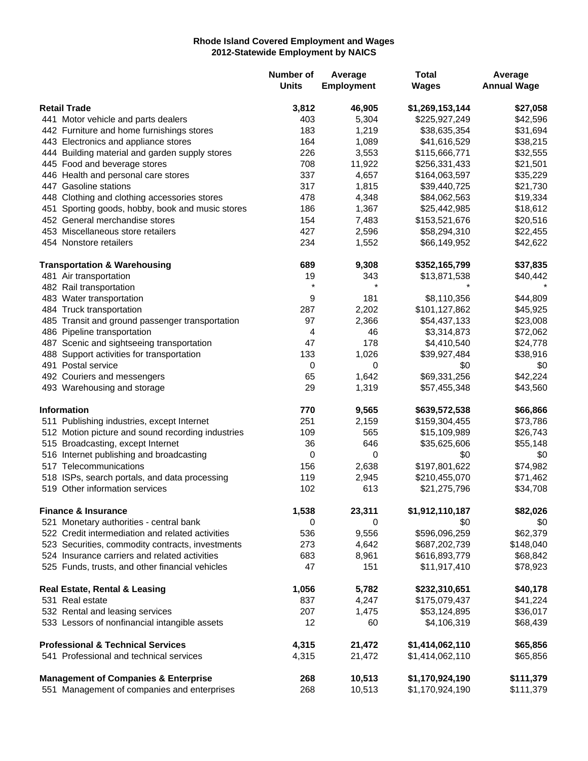## **Rhode Island Covered Employment and Wages 2012-Statewide Employment by NAICS**

|                     |                                                   | <b>Number of</b><br><b>Units</b> | Average<br><b>Employment</b> | <b>Total</b><br><b>Wages</b> | Average<br><b>Annual Wage</b> |
|---------------------|---------------------------------------------------|----------------------------------|------------------------------|------------------------------|-------------------------------|
| <b>Retail Trade</b> |                                                   | 3,812                            | 46,905                       | \$1,269,153,144              | \$27,058                      |
|                     | 441 Motor vehicle and parts dealers               | 403                              | 5,304                        | \$225,927,249                | \$42,596                      |
|                     | 442 Furniture and home furnishings stores         | 183                              | 1,219                        | \$38,635,354                 | \$31,694                      |
|                     | 443 Electronics and appliance stores              | 164                              | 1,089                        | \$41,616,529                 | \$38,215                      |
|                     | 444 Building material and garden supply stores    | 226                              | 3,553                        | \$115,666,771                | \$32,555                      |
|                     | 445 Food and beverage stores                      | 708                              | 11,922                       | \$256,331,433                | \$21,501                      |
|                     | 446 Health and personal care stores               | 337                              | 4,657                        | \$164,063,597                | \$35,229                      |
|                     | 447 Gasoline stations                             | 317                              | 1,815                        | \$39,440,725                 | \$21,730                      |
|                     | 448 Clothing and clothing accessories stores      | 478                              | 4,348                        | \$84,062,563                 | \$19,334                      |
|                     | 451 Sporting goods, hobby, book and music stores  | 186                              | 1,367                        | \$25,442,985                 | \$18,612                      |
|                     | 452 General merchandise stores                    | 154                              | 7,483                        | \$153,521,676                | \$20,516                      |
|                     | 453 Miscellaneous store retailers                 | 427                              | 2,596                        | \$58,294,310                 | \$22,455                      |
|                     | 454 Nonstore retailers                            | 234                              | 1,552                        | \$66,149,952                 | \$42,622                      |
|                     | <b>Transportation &amp; Warehousing</b>           | 689                              | 9,308                        | \$352,165,799                | \$37,835                      |
|                     | 481 Air transportation                            | 19                               | 343                          | \$13,871,538                 | \$40,442                      |
|                     | 482 Rail transportation                           | $\star$                          | $\star$                      |                              |                               |
|                     | 483 Water transportation                          | 9                                | 181                          | \$8,110,356                  | \$44,809                      |
|                     | 484 Truck transportation                          | 287                              | 2,202                        | \$101,127,862                | \$45,925                      |
|                     | 485 Transit and ground passenger transportation   | 97                               | 2,366                        | \$54,437,133                 | \$23,008                      |
|                     | 486 Pipeline transportation                       | 4                                | 46                           | \$3,314,873                  | \$72,062                      |
|                     | 487 Scenic and sightseeing transportation         | 47                               | 178                          | \$4,410,540                  | \$24,778                      |
|                     | 488 Support activities for transportation         | 133                              | 1,026                        | \$39,927,484                 | \$38,916                      |
|                     | 491 Postal service                                | 0                                | 0                            | \$0                          | \$0                           |
|                     | 492 Couriers and messengers                       | 65                               | 1,642                        | \$69,331,256                 | \$42,224                      |
|                     | 493 Warehousing and storage                       | 29                               | 1,319                        | \$57,455,348                 | \$43,560                      |
|                     | <b>Information</b>                                | 770                              | 9,565                        | \$639,572,538                | \$66,866                      |
|                     | 511 Publishing industries, except Internet        | 251                              | 2,159                        | \$159,304,455                | \$73,786                      |
|                     | 512 Motion picture and sound recording industries | 109                              | 565                          | \$15,109,989                 | \$26,743                      |
|                     | 515 Broadcasting, except Internet                 | 36                               | 646                          | \$35,625,606                 | \$55,148                      |
|                     | 516 Internet publishing and broadcasting          | $\pmb{0}$                        | 0                            | \$0                          | \$0                           |
|                     | 517 Telecommunications                            | 156                              | 2,638                        | \$197,801,622                | \$74,982                      |
|                     | 518 ISPs, search portals, and data processing     | 119                              | 2,945                        | \$210,455,070                | \$71,462                      |
|                     | 519 Other information services                    | 102                              | 613                          | \$21,275,796                 | \$34,708                      |
|                     | <b>Finance &amp; Insurance</b>                    | 1,538                            | 23,311                       | \$1,912,110,187              | \$82,026                      |
|                     | 521 Monetary authorities - central bank           | 0                                | 0                            | \$0                          | \$0                           |
|                     | 522 Credit intermediation and related activities  | 536                              | 9,556                        | \$596,096,259                | \$62,379                      |
|                     | 523 Securities, commodity contracts, investments  | 273                              | 4,642                        | \$687,202,739                | \$148,040                     |
|                     | 524 Insurance carriers and related activities     | 683                              | 8,961                        | \$616,893,779                | \$68,842                      |
|                     | 525 Funds, trusts, and other financial vehicles   | 47                               | 151                          | \$11,917,410                 | \$78,923                      |
|                     | <b>Real Estate, Rental &amp; Leasing</b>          | 1,056                            | 5,782                        | \$232,310,651                | \$40,178                      |
|                     | 531 Real estate                                   | 837                              | 4,247                        | \$175,079,437                | \$41,224                      |
|                     | 532 Rental and leasing services                   | 207                              | 1,475                        | \$53,124,895                 | \$36,017                      |
|                     | 533 Lessors of nonfinancial intangible assets     | 12                               | 60                           | \$4,106,319                  | \$68,439                      |
|                     | <b>Professional &amp; Technical Services</b>      | 4,315                            | 21,472                       | \$1,414,062,110              | \$65,856                      |
|                     | 541 Professional and technical services           | 4,315                            | 21,472                       | \$1,414,062,110              | \$65,856                      |
|                     | <b>Management of Companies &amp; Enterprise</b>   | 268                              | 10,513                       | \$1,170,924,190              | \$111,379                     |
|                     | 551 Management of companies and enterprises       | 268                              | 10,513                       | \$1,170,924,190              | \$111,379                     |